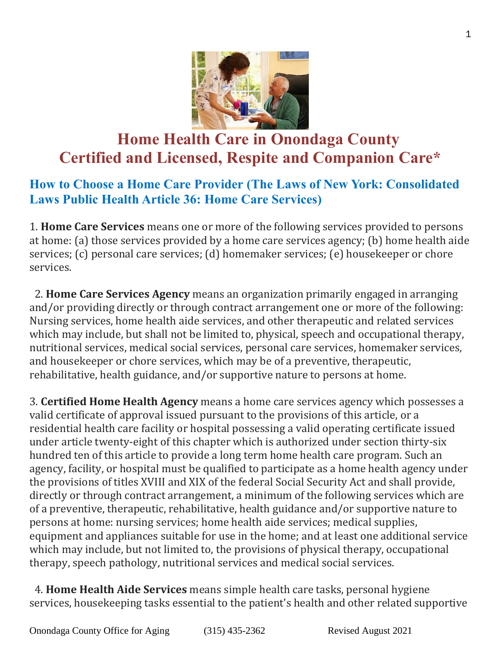

# **Home Health Care in Onondaga County Certified and Licensed, Respite and Companion Care\***

## **How to Choose a Home Care Provider (The Laws of New York: Consolidated Laws Public Health Article 36: Home Care Services)**

1. **Home Care Services** means one or more of the following services provided to persons at home: (a) those services provided by a home care services agency; (b) home health aide services; (c) personal care services; (d) homemaker services; (e) housekeeper or chore services.

 2. **Home Care Services Agency** means an organization primarily engaged in arranging and/or providing directly or through contract arrangement one or more of the following: Nursing services, home health aide services, and other therapeutic and related services which may include, but shall not be limited to, physical, speech and occupational therapy, nutritional services, medical social services, personal care services, homemaker services, and housekeeper or chore services, which may be of a preventive, therapeutic, rehabilitative, health guidance, and/or supportive nature to persons at home.

3. **Certified Home Health Agency** means a home care services agency which possesses a valid certificate of approval issued pursuant to the provisions of this article, or a residential health care facility or hospital possessing a valid operating certificate issued under article twenty-eight of this chapter which is authorized under section thirty-six hundred ten of this article to provide a long term home health care program. Such an agency, facility, or hospital must be qualified to participate as a home health agency under the provisions of titles XVIII and XIX of the federal Social Security Act and shall provide, directly or through contract arrangement, a minimum of the following services which are of a preventive, therapeutic, rehabilitative, health guidance and/or supportive nature to persons at home: nursing services; home health aide services; medical supplies, equipment and appliances suitable for use in the home; and at least one additional service which may include, but not limited to, the provisions of physical therapy, occupational therapy, speech pathology, nutritional services and medical social services.

 4. **Home Health Aide Services** means simple health care tasks, personal hygiene services, housekeeping tasks essential to the patient's health and other related supportive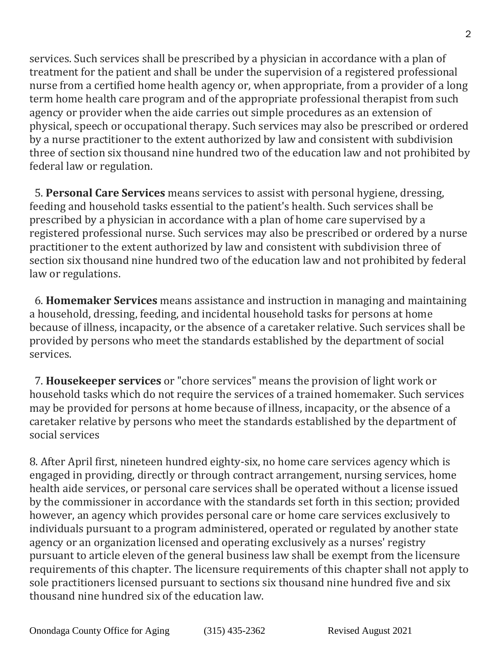services. Such services shall be prescribed by a physician in accordance with a plan of treatment for the patient and shall be under the supervision of a registered professional nurse from a certified home health agency or, when appropriate, from a provider of a long term home health care program and of the appropriate professional therapist from such agency or provider when the aide carries out simple procedures as an extension of physical, speech or occupational therapy. Such services may also be prescribed or ordered by a nurse practitioner to the extent authorized by law and consistent with subdivision three of section six thousand nine hundred two of the education law and not prohibited by federal law or regulation.

 5. **Personal Care Services** means services to assist with personal hygiene, dressing, feeding and household tasks essential to the patient's health. Such services shall be prescribed by a physician in accordance with a plan of home care supervised by a registered professional nurse. Such services may also be prescribed or ordered by a nurse practitioner to the extent authorized by law and consistent with subdivision three of section six thousand nine hundred two of the education law and not prohibited by federal law or regulations.

 6. **Homemaker Services** means assistance and instruction in managing and maintaining a household, dressing, feeding, and incidental household tasks for persons at home because of illness, incapacity, or the absence of a caretaker relative. Such services shall be provided by persons who meet the standards established by the department of social services.

 7. **Housekeeper services** or "chore services" means the provision of light work or household tasks which do not require the services of a trained homemaker. Such services may be provided for persons at home because of illness, incapacity, or the absence of a caretaker relative by persons who meet the standards established by the department of social services

8. After April first, nineteen hundred eighty-six, no home care services agency which is engaged in providing, directly or through contract arrangement, nursing services, home health aide services, or personal care services shall be operated without a license issued by the commissioner in accordance with the standards set forth in this section; provided however, an agency which provides personal care or home care services exclusively to individuals pursuant to a program administered, operated or regulated by another state agency or an organization licensed and operating exclusively as a nurses' registry pursuant to article eleven of the general business law shall be exempt from the licensure requirements of this chapter. The licensure requirements of this chapter shall not apply to sole practitioners licensed pursuant to sections six thousand nine hundred five and six thousand nine hundred six of the education law.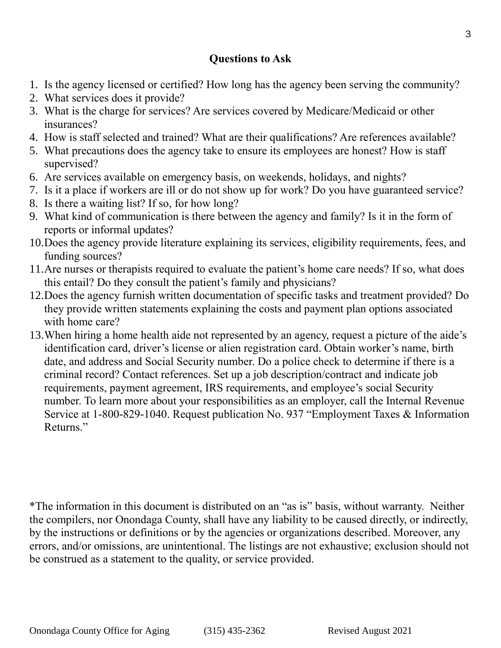## **Questions to Ask**

- 1. Is the agency licensed or certified? How long has the agency been serving the community?
- 2. What services does it provide?
- 3. What is the charge for services? Are services covered by Medicare/Medicaid or other insurances?
- 4. How is staff selected and trained? What are their qualifications? Are references available?
- 5. What precautions does the agency take to ensure its employees are honest? How is staff supervised?
- 6. Are services available on emergency basis, on weekends, holidays, and nights?
- 7. Is it a place if workers are ill or do not show up for work? Do you have guaranteed service?
- 8. Is there a waiting list? If so, for how long?
- 9. What kind of communication is there between the agency and family? Is it in the form of reports or informal updates?
- 10.Does the agency provide literature explaining its services, eligibility requirements, fees, and funding sources?
- 11.Are nurses or therapists required to evaluate the patient's home care needs? If so, what does this entail? Do they consult the patient's family and physicians?
- 12.Does the agency furnish written documentation of specific tasks and treatment provided? Do they provide written statements explaining the costs and payment plan options associated with home care?
- 13.When hiring a home health aide not represented by an agency, request a picture of the aide's identification card, driver's license or alien registration card. Obtain worker's name, birth date, and address and Social Security number. Do a police check to determine if there is a criminal record? Contact references. Set up a job description/contract and indicate job requirements, payment agreement, IRS requirements, and employee's social Security number. To learn more about your responsibilities as an employer, call the Internal Revenue Service at 1-800-829-1040. Request publication No. 937 "Employment Taxes & Information Returns."

\*The information in this document is distributed on an "as is" basis, without warranty. Neither the compilers, nor Onondaga County, shall have any liability to be caused directly, or indirectly, by the instructions or definitions or by the agencies or organizations described. Moreover, any errors, and/or omissions, are unintentional. The listings are not exhaustive; exclusion should not be construed as a statement to the quality, or service provided.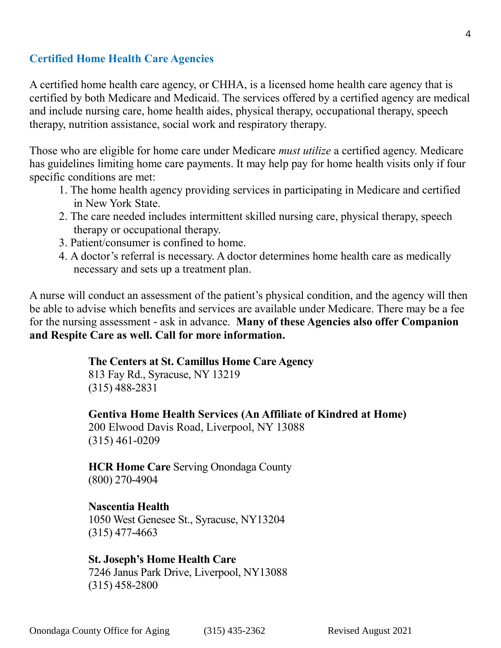#### **Certified Home Health Care Agencies**

A certified home health care agency, or CHHA, is a licensed home health care agency that is certified by both Medicare and Medicaid. The services offered by a certified agency are medical and include nursing care, home health aides, physical therapy, occupational therapy, speech therapy, nutrition assistance, social work and respiratory therapy.

Those who are eligible for home care under Medicare *must utilize* a certified agency. Medicare has guidelines limiting home care payments. It may help pay for home health visits only if four specific conditions are met:

- 1. The home health agency providing services in participating in Medicare and certified in New York State.
- 2. The care needed includes intermittent skilled nursing care, physical therapy, speech therapy or occupational therapy.
- 3. Patient/consumer is confined to home.
- 4. A doctor's referral is necessary. A doctor determines home health care as medically necessary and sets up a treatment plan.

A nurse will conduct an assessment of the patient's physical condition, and the agency will then be able to advise which benefits and services are available under Medicare. There may be a fee for the nursing assessment - ask in advance. **Many of these Agencies also offer Companion and Respite Care as well. Call for more information.**

#### **The Centers at St. Camillus Home Care Agency**

813 Fay Rd., Syracuse, NY 13219 (315) 488-2831

**Gentiva Home Health Services (An Affiliate of Kindred at Home)**

200 Elwood Davis Road, Liverpool, NY 13088 (315) 461-0209

**HCR Home Care** Serving Onondaga County (800) 270-4904

### **Nascentia Health**

1050 West Genesee St., Syracuse, NY13204 (315) 477-4663

**St. Joseph's Home Health Care** 7246 Janus Park Drive, Liverpool, NY13088 (315) 458-2800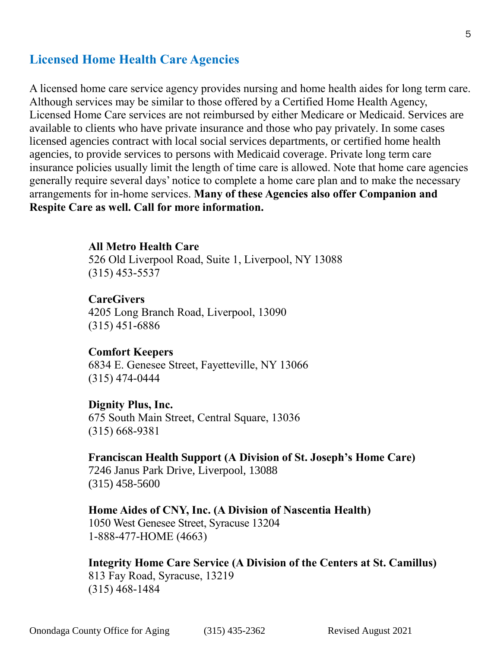## **Licensed Home Health Care Agencies**

A licensed home care service agency provides nursing and home health aides for long term care. Although services may be similar to those offered by a Certified Home Health Agency, Licensed Home Care services are not reimbursed by either Medicare or Medicaid. Services are available to clients who have private insurance and those who pay privately. In some cases licensed agencies contract with local social services departments, or certified home health agencies, to provide services to persons with Medicaid coverage. Private long term care insurance policies usually limit the length of time care is allowed. Note that home care agencies generally require several days' notice to complete a home care plan and to make the necessary arrangements for in-home services. **Many of these Agencies also offer Companion and Respite Care as well. Call for more information.**

#### **All Metro Health Care**

526 Old Liverpool Road, Suite 1, Liverpool, NY 13088 (315) 453-5537

#### **CareGivers**

4205 Long Branch Road, Liverpool, 13090 (315) 451-6886

#### **Comfort Keepers**

6834 E. Genesee Street, Fayetteville, NY 13066 (315) 474-0444

#### **Dignity Plus, Inc.**

675 South Main Street, Central Square, 13036 (315) 668-9381

#### **Franciscan Health Support (A Division of St. Joseph's Home Care)**

7246 Janus Park Drive, Liverpool, 13088 (315) 458-5600

#### **Home Aides of CNY, Inc. (A Division of Nascentia Health)**

1050 West Genesee Street, Syracuse 13204 1-888-477-HOME (4663)

**Integrity Home Care Service (A Division of the Centers at St. Camillus)** 813 Fay Road, Syracuse, 13219 (315) 468-1484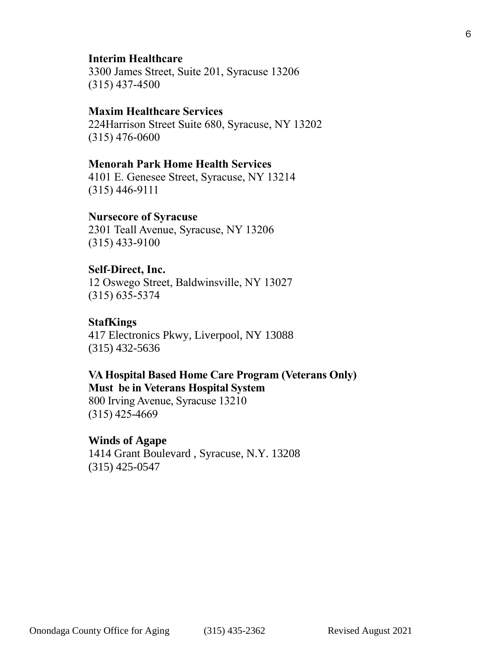#### **Interim Healthcare**

3300 James Street, Suite 201, Syracuse 13206 (315) 437-4500

#### **Maxim Healthcare Services**

224Harrison Street Suite 680, Syracuse, NY 13202 (315) 476-0600

#### **Menorah Park Home Health Services**

4101 E. Genesee Street, Syracuse, NY 13214 (315) 446-9111

#### **Nursecore of Syracuse**

2301 Teall Avenue, Syracuse, NY 13206 (315) 433-9100

#### **Self-Direct, Inc.**

12 Oswego Street, Baldwinsville, NY 13027 (315) 635-5374

#### **StafKings**

417 Electronics Pkwy, Liverpool, NY 13088 [\(315\) 432-5636](javascript:void(0))

#### **VA Hospital Based Home Care Program (Veterans Only) Must be in Veterans Hospital System**

800 Irving Avenue, Syracuse 13210 (315) 425-4669

#### **Winds of Agape**

1414 Grant Boulevard , Syracuse, N.Y. 13208 (315) 425-0547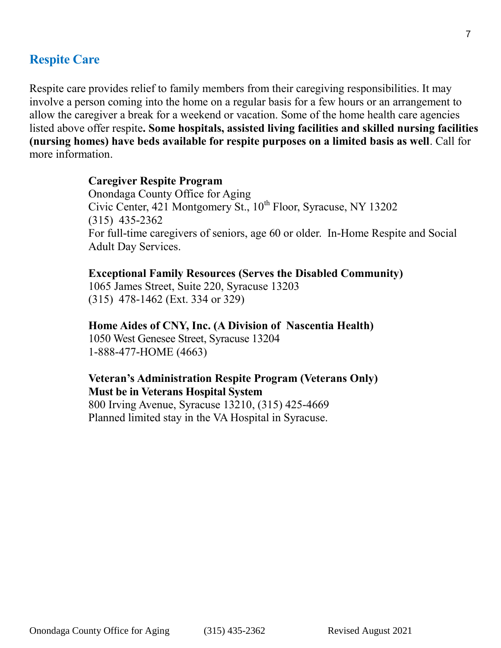## **Respite Care**

Respite care provides relief to family members from their caregiving responsibilities. It may involve a person coming into the home on a regular basis for a few hours or an arrangement to allow the caregiver a break for a weekend or vacation. Some of the home health care agencies listed above offer respite**. Some hospitals, assisted living facilities and skilled nursing facilities (nursing homes) have beds available for respite purposes on a limited basis as well**. Call for more information.

## **Caregiver Respite Program**

Onondaga County Office for Aging Civic Center,  $421$  Montgomery St.,  $10^{th}$  Floor, Syracuse, NY 13202 (315) 435-2362 For full-time caregivers of seniors, age 60 or older. In-Home Respite and Social Adult Day Services.

**Exceptional Family Resources (Serves the Disabled Community)** 1065 James Street, Suite 220, Syracuse 13203 (315) 478-1462 (Ext. 334 or 329)

### **Home Aides of CNY, Inc. (A Division of Nascentia Health)**

1050 West Genesee Street, Syracuse 13204 1-888-477-HOME (4663)

## **Veteran's Administration Respite Program (Veterans Only) Must be in Veterans Hospital System**

800 Irving Avenue, Syracuse 13210, (315) 425-4669 Planned limited stay in the VA Hospital in Syracuse.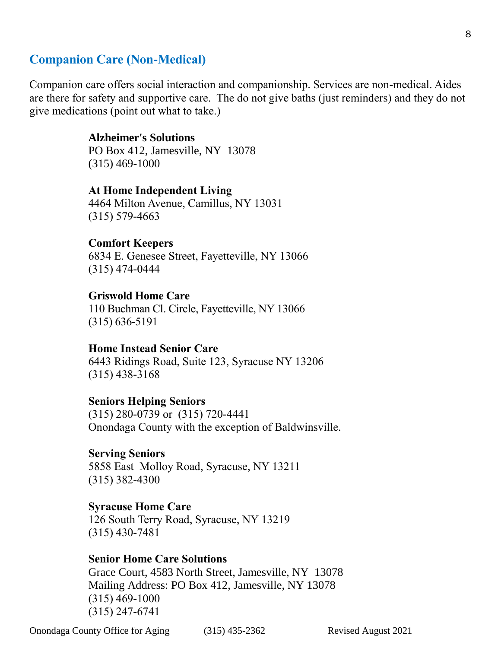## **Companion Care (Non-Medical)**

Companion care offers social interaction and companionship. Services are non-medical. Aides are there for safety and supportive care. The do not give baths (just reminders) and they do not give medications (point out what to take.)

#### **Alzheimer's Solutions**

PO Box 412, Jamesville, NY 13078 (315) 469-1000

## **At Home Independent Living**

4464 Milton Avenue, Camillus, NY 13031 (315) 579-4663

#### **Comfort Keepers**

6834 E. Genesee Street, Fayetteville, NY 13066 (315) 474-0444

#### **Griswold Home Care**

110 Buchman Cl. Circle, Fayetteville, NY 13066 (315) 636-5191

#### **Home Instead Senior Care**

6443 Ridings Road, Suite 123, Syracuse NY 13206 (315) 438-3168

#### **Seniors Helping Seniors**

(315) 280-0739 or (315) 720-4441 Onondaga County with the exception of Baldwinsville.

#### **Serving Seniors**

5858 East Molloy Road, Syracuse, NY 13211 (315) 382-4300

#### **Syracuse Home Care**

126 South Terry Road, Syracuse, NY 13219 (315) 430-7481

#### **Senior Home Care Solutions**

Grace Court, 4583 North Street, Jamesville, NY 13078 Mailing Address: PO Box 412, Jamesville, NY 13078 (315) 469-1000 (315) 247-6741

Onondaga County Office for Aging (315) 435-2362 Revised August 2021